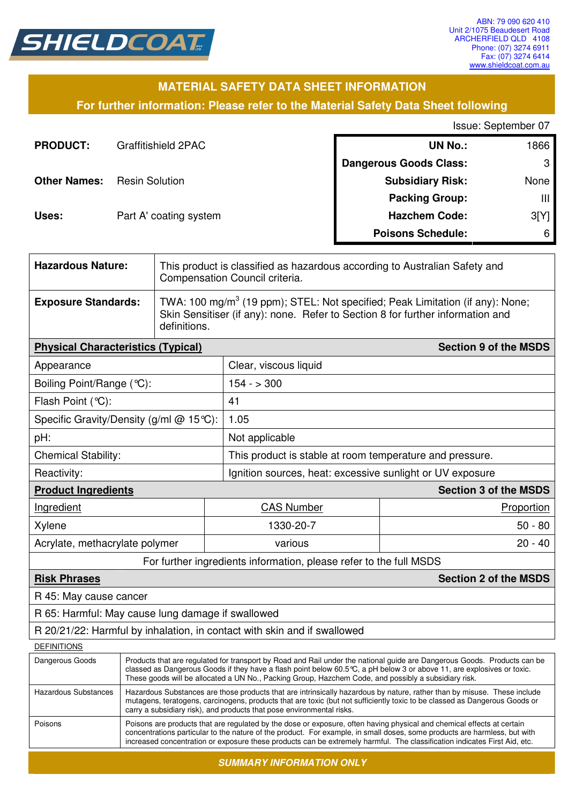

### **MATERIAL SAFETY DATA SHEET INFORMATION**

**For further information: Please refer to the Material Safety Data Sheet following**

Issue: September 07

| <b>PRODUCT:</b>     | Graffitishield 2PAC    | <b>UN No.:</b>                | 1866 |
|---------------------|------------------------|-------------------------------|------|
|                     |                        | <b>Dangerous Goods Class:</b> | 3    |
| <b>Other Names:</b> | <b>Resin Solution</b>  | <b>Subsidiary Risk:</b>       | None |
|                     |                        | <b>Packing Group:</b>         | Ш    |
| Uses:               | Part A' coating system | <b>Hazchem Code:</b>          | 3[Y] |
|                     |                        | <b>Poisons Schedule:</b>      | 6    |

| <b>Hazardous Nature:</b>                          | This product is classified as hazardous according to Australian Safety and<br>Compensation Council criteria.                                                                                                                                                                                                                                                |                                                                                                                                                                                             |                                                                          |                              |
|---------------------------------------------------|-------------------------------------------------------------------------------------------------------------------------------------------------------------------------------------------------------------------------------------------------------------------------------------------------------------------------------------------------------------|---------------------------------------------------------------------------------------------------------------------------------------------------------------------------------------------|--------------------------------------------------------------------------|------------------------------|
| <b>Exposure Standards:</b>                        |                                                                                                                                                                                                                                                                                                                                                             | TWA: 100 mg/m <sup>3</sup> (19 ppm); STEL: Not specified; Peak Limitation (if any): None;<br>Skin Sensitiser (if any): none. Refer to Section 8 for further information and<br>definitions. |                                                                          |                              |
| <b>Physical Characteristics (Typical)</b>         |                                                                                                                                                                                                                                                                                                                                                             |                                                                                                                                                                                             |                                                                          | <b>Section 9 of the MSDS</b> |
| Appearance                                        |                                                                                                                                                                                                                                                                                                                                                             | Clear, viscous liquid                                                                                                                                                                       |                                                                          |                              |
| Boiling Point/Range (°C):                         |                                                                                                                                                                                                                                                                                                                                                             | $154 - 300$                                                                                                                                                                                 |                                                                          |                              |
| Flash Point (°C):                                 |                                                                                                                                                                                                                                                                                                                                                             | 41                                                                                                                                                                                          |                                                                          |                              |
| Specific Gravity/Density (g/ml @ 15°C):           |                                                                                                                                                                                                                                                                                                                                                             | 1.05                                                                                                                                                                                        |                                                                          |                              |
| pH:                                               |                                                                                                                                                                                                                                                                                                                                                             |                                                                                                                                                                                             | Not applicable                                                           |                              |
| <b>Chemical Stability:</b>                        |                                                                                                                                                                                                                                                                                                                                                             |                                                                                                                                                                                             | This product is stable at room temperature and pressure.                 |                              |
| Reactivity:                                       |                                                                                                                                                                                                                                                                                                                                                             | Ignition sources, heat: excessive sunlight or UV exposure                                                                                                                                   |                                                                          |                              |
| <b>Product Ingredients</b>                        |                                                                                                                                                                                                                                                                                                                                                             |                                                                                                                                                                                             |                                                                          | <b>Section 3 of the MSDS</b> |
| Ingredient                                        |                                                                                                                                                                                                                                                                                                                                                             |                                                                                                                                                                                             | <b>CAS Number</b>                                                        | Proportion                   |
| Xylene                                            |                                                                                                                                                                                                                                                                                                                                                             |                                                                                                                                                                                             | 1330-20-7                                                                | $50 - 80$                    |
| Acrylate, methacrylate polymer                    |                                                                                                                                                                                                                                                                                                                                                             | various                                                                                                                                                                                     | $20 - 40$                                                                |                              |
|                                                   |                                                                                                                                                                                                                                                                                                                                                             |                                                                                                                                                                                             | For further ingredients information, please refer to the full MSDS       |                              |
| <b>Risk Phrases</b>                               |                                                                                                                                                                                                                                                                                                                                                             |                                                                                                                                                                                             |                                                                          | <b>Section 2 of the MSDS</b> |
| R 45: May cause cancer                            |                                                                                                                                                                                                                                                                                                                                                             |                                                                                                                                                                                             |                                                                          |                              |
| R 65: Harmful: May cause lung damage if swallowed |                                                                                                                                                                                                                                                                                                                                                             |                                                                                                                                                                                             |                                                                          |                              |
|                                                   |                                                                                                                                                                                                                                                                                                                                                             |                                                                                                                                                                                             | R 20/21/22: Harmful by inhalation, in contact with skin and if swallowed |                              |
| <b>DEFINITIONS</b>                                |                                                                                                                                                                                                                                                                                                                                                             |                                                                                                                                                                                             |                                                                          |                              |
| Dangerous Goods                                   | Products that are regulated for transport by Road and Rail under the national guide are Dangerous Goods. Products can be<br>classed as Dangerous Goods if they have a flash point below 60.5 °C, a pH below 3 or above 11, are explosives or toxic.<br>These goods will be allocated a UN No., Packing Group, Hazchem Code, and possibly a subsidiary risk. |                                                                                                                                                                                             |                                                                          |                              |
| <b>Hazardous Substances</b>                       | Hazardous Substances are those products that are intrinsically hazardous by nature, rather than by misuse. These include<br>mutagens, teratogens, carcinogens, products that are toxic (but not sufficiently toxic to be classed as Dangerous Goods or<br>carry a subsidiary risk), and products that pose environmental risks.                             |                                                                                                                                                                                             |                                                                          |                              |
| Poisons                                           | Poisons are products that are regulated by the dose or exposure, often having physical and chemical effects at certain                                                                                                                                                                                                                                      |                                                                                                                                                                                             |                                                                          |                              |

**SUMMARY INFORMATION ONLY** 

concentrations particular to the nature of the product. For example, in small doses, some products are harmless, but with increased concentration or exposure these products can be extremely harmful. The classification indicates First Aid, etc.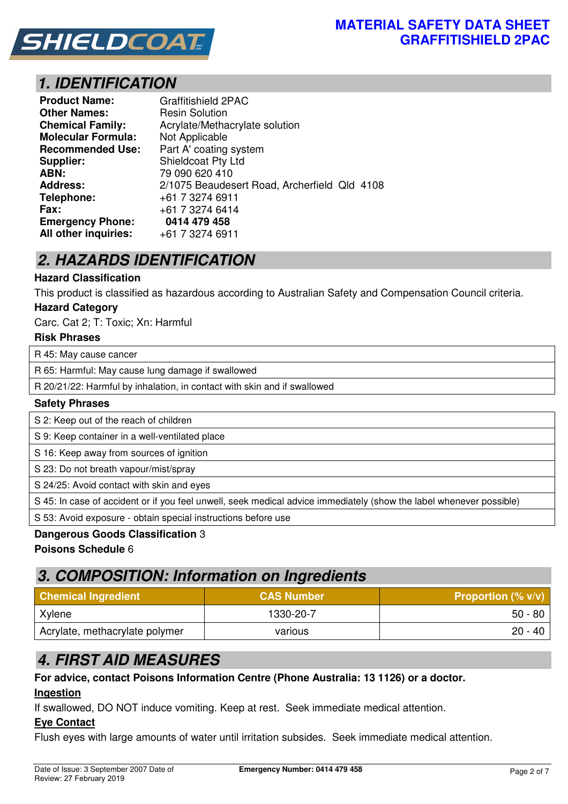

## **1. IDENTIFICATION**

| <b>Product Name:</b>      | Graffitishield 2PAC                          |  |
|---------------------------|----------------------------------------------|--|
| <b>Other Names:</b>       | <b>Resin Solution</b>                        |  |
| <b>Chemical Family:</b>   | Acrylate/Methacrylate solution               |  |
| <b>Molecular Formula:</b> | Not Applicable                               |  |
| <b>Recommended Use:</b>   | Part A' coating system                       |  |
| Supplier:                 | Shieldcoat Pty Ltd                           |  |
| ABN:                      | 79 090 620 410                               |  |
| <b>Address:</b>           | 2/1075 Beaudesert Road, Archerfield Qld 4108 |  |
| Telephone:                | +61 7 3274 6911                              |  |
| <b>Fax:</b>               | +61 7 3274 6414                              |  |
| <b>Emergency Phone:</b>   | 0414 479 458                                 |  |
| All other inquiries:      | +61 7 3274 6911                              |  |

## **2. HAZARDS IDENTIFICATION**

### **Hazard Classification**

This product is classified as hazardous according to Australian Safety and Compensation Council criteria.

### **Hazard Category**

Carc. Cat 2; T: Toxic; Xn: Harmful

### **Risk Phrases**

R 45: May cause cancer

R 65: Harmful: May cause lung damage if swallowed

R 20/21/22: Harmful by inhalation, in contact with skin and if swallowed

#### **Safety Phrases**

S 2: Keep out of the reach of children

S 9: Keep container in a well-ventilated place

S 16: Keep away from sources of ignition

S 23: Do not breath vapour/mist/spray

S 24/25: Avoid contact with skin and eyes

S 45: In case of accident or if you feel unwell, seek medical advice immediately (show the label whenever possible)

S 53: Avoid exposure - obtain special instructions before use

### **Dangerous Goods Classification** 3

**Poisons Schedule** 6

## **3. COMPOSITION: Information on Ingredients**

| <b>Chemical Ingredient</b>     | <b>CAS Number</b> | <b>Proportion (% v/v)</b> |
|--------------------------------|-------------------|---------------------------|
| Xylene                         | 1330-20-7         | $50 - 80$                 |
| Acrylate, methacrylate polymer | various           | $20 - 40$                 |

## **4. FIRST AID MEASURES**

**For advice, contact Poisons Information Centre (Phone Australia: 13 1126) or a doctor.** 

### **Ingestion**

If swallowed, DO NOT induce vomiting. Keep at rest. Seek immediate medical attention.

### **Eye Contact**

Flush eyes with large amounts of water until irritation subsides. Seek immediate medical attention.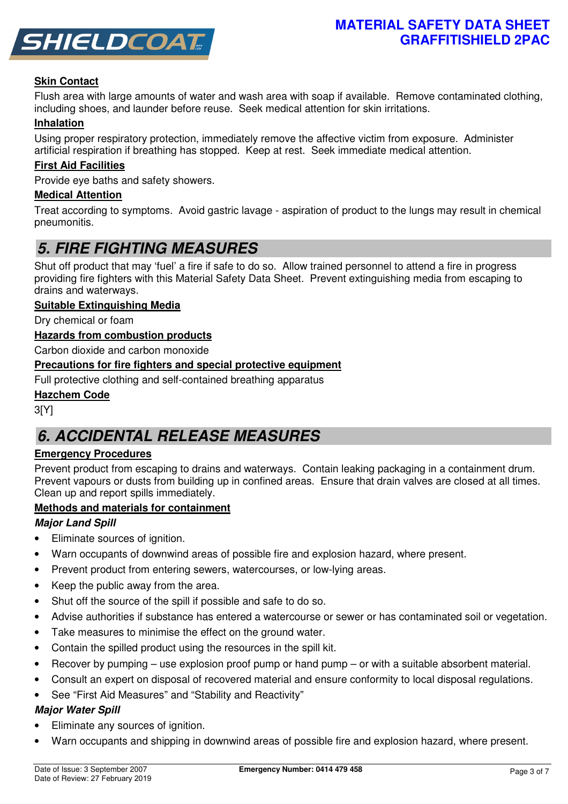

### **Skin Contact**

Flush area with large amounts of water and wash area with soap if available. Remove contaminated clothing, including shoes, and launder before reuse. Seek medical attention for skin irritations.

### **Inhalation**

Using proper respiratory protection, immediately remove the affective victim from exposure. Administer artificial respiration if breathing has stopped. Keep at rest. Seek immediate medical attention.

### **First Aid Facilities**

Provide eye baths and safety showers.

#### **Medical Attention**

Treat according to symptoms. Avoid gastric lavage - aspiration of product to the lungs may result in chemical pneumonitis.

## **5. FIRE FIGHTING MEASURES**

Shut off product that may 'fuel' a fire if safe to do so. Allow trained personnel to attend a fire in progress providing fire fighters with this Material Safety Data Sheet. Prevent extinguishing media from escaping to drains and waterways.

### **Suitable Extinguishing Media**

Dry chemical or foam

#### **Hazards from combustion products**

Carbon dioxide and carbon monoxide

#### **Precautions for fire fighters and special protective equipment**

Full protective clothing and self-contained breathing apparatus

#### **Hazchem Code**

3[Y]

## **6. ACCIDENTAL RELEASE MEASURES**

### **Emergency Procedures**

Prevent product from escaping to drains and waterways. Contain leaking packaging in a containment drum. Prevent vapours or dusts from building up in confined areas. Ensure that drain valves are closed at all times. Clean up and report spills immediately.

### **Methods and materials for containment**

### **Major Land Spill**

- Eliminate sources of ignition.
- Warn occupants of downwind areas of possible fire and explosion hazard, where present.
- Prevent product from entering sewers, watercourses, or low-lying areas.
- Keep the public away from the area.
- Shut off the source of the spill if possible and safe to do so.
- Advise authorities if substance has entered a watercourse or sewer or has contaminated soil or vegetation.
- Take measures to minimise the effect on the ground water.
- Contain the spilled product using the resources in the spill kit.
- Recover by pumping use explosion proof pump or hand pump or with a suitable absorbent material.
- Consult an expert on disposal of recovered material and ensure conformity to local disposal regulations.
- See "First Aid Measures" and "Stability and Reactivity"

### **Major Water Spill**

- Eliminate any sources of ignition.
- Warn occupants and shipping in downwind areas of possible fire and explosion hazard, where present.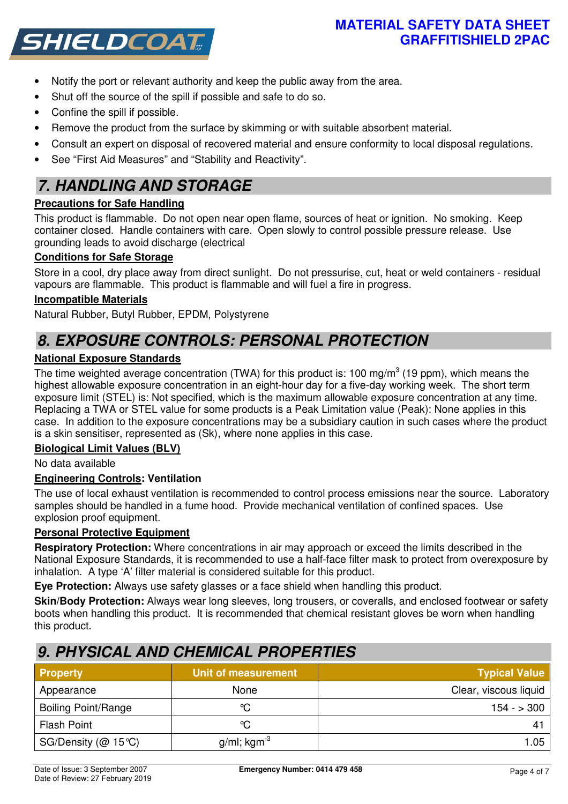### **MATERIAL SAFETY DATA SHEET GRAFFITISHIELD 2PAC**



- Notify the port or relevant authority and keep the public away from the area.
- Shut off the source of the spill if possible and safe to do so.
- Confine the spill if possible.
- Remove the product from the surface by skimming or with suitable absorbent material.
- Consult an expert on disposal of recovered material and ensure conformity to local disposal regulations.
- See "First Aid Measures" and "Stability and Reactivity".

## **7. HANDLING AND STORAGE**

### **Precautions for Safe Handling**

This product is flammable. Do not open near open flame, sources of heat or ignition. No smoking. Keep container closed. Handle containers with care. Open slowly to control possible pressure release. Use grounding leads to avoid discharge (electrical

### **Conditions for Safe Storage**

Store in a cool, dry place away from direct sunlight. Do not pressurise, cut, heat or weld containers - residual vapours are flammable. This product is flammable and will fuel a fire in progress.

### **Incompatible Materials**

Natural Rubber, Butyl Rubber, EPDM, Polystyrene

# **8. EXPOSURE CONTROLS: PERSONAL PROTECTION**

### **National Exposure Standards**

The time weighted average concentration (TWA) for this product is: 100 mg/m<sup>3</sup> (19 ppm), which means the highest allowable exposure concentration in an eight-hour day for a five-day working week. The short term exposure limit (STEL) is: Not specified, which is the maximum allowable exposure concentration at any time. Replacing a TWA or STEL value for some products is a Peak Limitation value (Peak): None applies in this case. In addition to the exposure concentrations may be a subsidiary caution in such cases where the product is a skin sensitiser, represented as (Sk), where none applies in this case.

### **Biological Limit Values (BLV)**

No data available

### **Engineering Controls: Ventilation**

The use of local exhaust ventilation is recommended to control process emissions near the source. Laboratory samples should be handled in a fume hood. Provide mechanical ventilation of confined spaces. Use explosion proof equipment.

### **Personal Protective Equipment**

**Respiratory Protection:** Where concentrations in air may approach or exceed the limits described in the National Exposure Standards, it is recommended to use a half-face filter mask to protect from overexposure by inhalation. A type 'A' filter material is considered suitable for this product.

**Eye Protection:** Always use safety glasses or a face shield when handling this product.

**Skin/Body Protection:** Always wear long sleeves, long trousers, or coveralls, and enclosed footwear or safety boots when handling this product. It is recommended that chemical resistant gloves be worn when handling this product.

# **9. PHYSICAL AND CHEMICAL PROPERTIES**

| <b>Property</b>         | Unit of measurement        | <b>Typical Value</b>  |
|-------------------------|----------------------------|-----------------------|
| Appearance              | None                       | Clear, viscous liquid |
| Boiling Point/Range     | °C                         | $154 - 300$           |
| <b>Flash Point</b>      | °C                         |                       |
| SG/Density ( $@$ 15 °C) | $g/ml$ ; kgm <sup>-3</sup> | 1.05                  |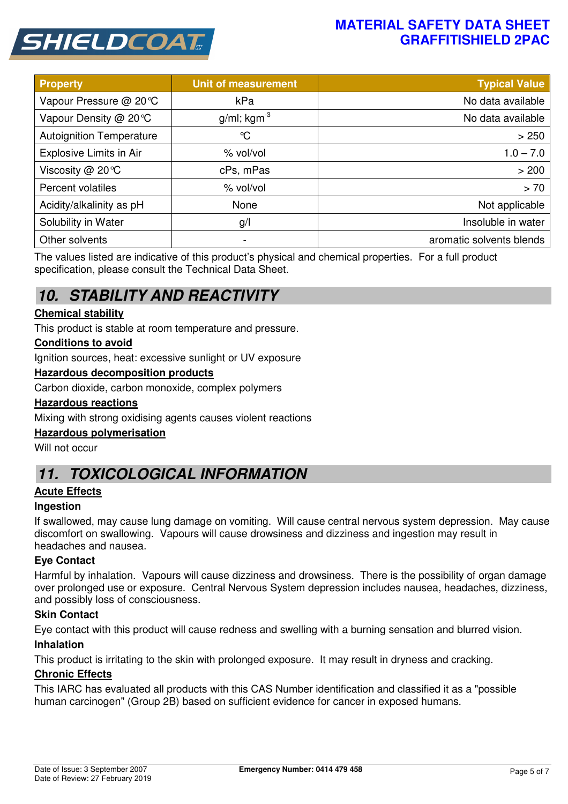### **MATERIAL SAFETY DATA SHEET GRAFFITISHIELD 2PAC**



| <b>Property</b>                 | <b>Unit of measurement</b> | <b>Typical Value</b>     |
|---------------------------------|----------------------------|--------------------------|
| Vapour Pressure @ 20℃           | kPa                        | No data available        |
| Vapour Density @ 20 °C          | $g/ml$ ; kgm <sup>-3</sup> | No data available        |
| <b>Autoignition Temperature</b> | $\mathrm{C}$               | > 250                    |
| Explosive Limits in Air         | % vol/vol                  | $1.0 - 7.0$              |
| Viscosity @ 20℃                 | cPs, mPas                  | > 200                    |
| <b>Percent volatiles</b>        | % vol/vol                  | > 70                     |
| Acidity/alkalinity as pH        | None                       | Not applicable           |
| Solubility in Water             | g/l                        | Insoluble in water       |
| Other solvents                  | $\blacksquare$             | aromatic solvents blends |

The values listed are indicative of this product's physical and chemical properties. For a full product specification, please consult the Technical Data Sheet.

## **10. STABILITY AND REACTIVITY**

### **Chemical stability**

This product is stable at room temperature and pressure.

### **Conditions to avoid**

Ignition sources, heat: excessive sunlight or UV exposure

### **Hazardous decomposition products**

Carbon dioxide, carbon monoxide, complex polymers

### **Hazardous reactions**

Mixing with strong oxidising agents causes violent reactions

### **Hazardous polymerisation**

Will not occur

## **11. TOXICOLOGICAL INFORMATION**

### **Acute Effects**

### **Ingestion**

If swallowed, may cause lung damage on vomiting. Will cause central nervous system depression. May cause discomfort on swallowing. Vapours will cause drowsiness and dizziness and ingestion may result in headaches and nausea.

### **Eye Contact**

Harmful by inhalation. Vapours will cause dizziness and drowsiness. There is the possibility of organ damage over prolonged use or exposure. Central Nervous System depression includes nausea, headaches, dizziness, and possibly loss of consciousness.

### **Skin Contact**

Eye contact with this product will cause redness and swelling with a burning sensation and blurred vision. **Inhalation** 

This product is irritating to the skin with prolonged exposure. It may result in dryness and cracking.

### **Chronic Effects**

This IARC has evaluated all products with this CAS Number identification and classified it as a "possible human carcinogen" (Group 2B) based on sufficient evidence for cancer in exposed humans.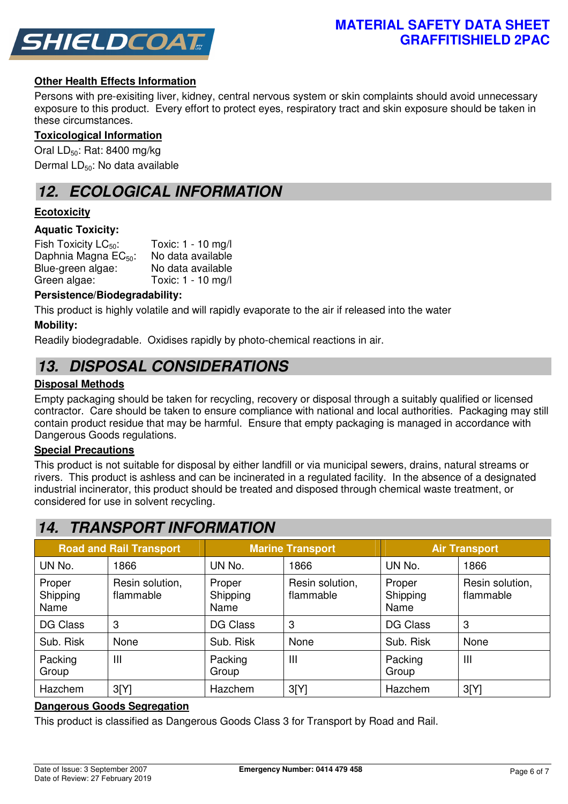

### **MATERIAL SAFETY DATA SHEET GRAFFITISHIELD 2PAC**

### **Other Health Effects Information**

Persons with pre-exisiting liver, kidney, central nervous system or skin complaints should avoid unnecessary exposure to this product. Every effort to protect eyes, respiratory tract and skin exposure should be taken in these circumstances.

### **Toxicological Information**

Oral LD<sub>50</sub>: Rat: 8400 mg/kg Dermal LD<sub>50</sub>: No data available

## **12. ECOLOGICAL INFORMATION**

### **Ecotoxicity**

### **Aquatic Toxicity:**

| Toxic: 1 - 10 mg/l |
|--------------------|
| No data available  |
| No data available  |
| Toxic: 1 - 10 mg/l |
|                    |

### **Persistence/Biodegradability:**

This product is highly volatile and will rapidly evaporate to the air if released into the water

### **Mobility:**

Readily biodegradable. Oxidises rapidly by photo-chemical reactions in air.

## **13. DISPOSAL CONSIDERATIONS**

### **Disposal Methods**

Empty packaging should be taken for recycling, recovery or disposal through a suitably qualified or licensed contractor. Care should be taken to ensure compliance with national and local authorities. Packaging may still contain product residue that may be harmful. Ensure that empty packaging is managed in accordance with Dangerous Goods regulations.

### **Special Precautions**

This product is not suitable for disposal by either landfill or via municipal sewers, drains, natural streams or rivers. This product is ashless and can be incinerated in a regulated facility. In the absence of a designated industrial incinerator, this product should be treated and disposed through chemical waste treatment, or considered for use in solvent recycling.

#### **Road and Rail Transport Marine Transport Air Transport Air Transport** UN No. 1866 UN No. 1866 UN No. 1866 Proper Shipping Name Resin solution, flammable Proper Shipping Name Resin solution, flammable Proper Shipping Name Resin solution, flammable DG Class  $\begin{array}{|c|c|c|c|c|c|} \hline \end{array}$  DG Class  $\begin{array}{|c|c|c|c|c|c|c|c|} \hline \end{array}$  DG Class  $\begin{array}{|c|c|c|c|c|c|c|c|} \hline \end{array}$ Sub. Risk | None | Sub. Risk | None | Sub. Risk | None Packing **Group** III Packing **Group** III Packing **Group** III Hazchem 3[Y] Hazchem 3[Y] Hazchem 3[Y]

# **14. TRANSPORT INFORMATION**

### **Dangerous Goods Segregation**

This product is classified as Dangerous Goods Class 3 for Transport by Road and Rail.